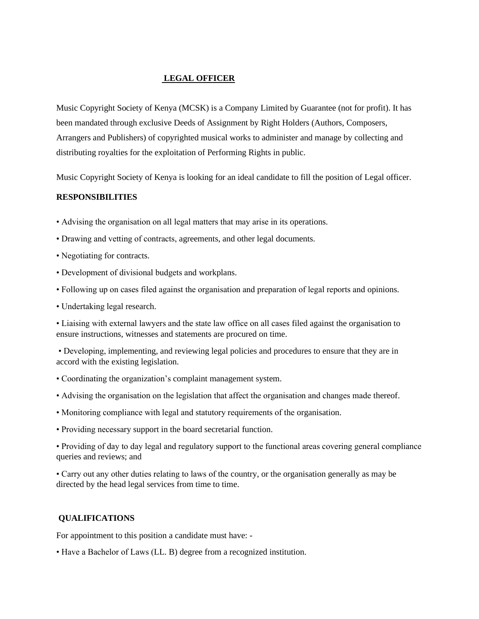### **LEGAL OFFICER**

Music Copyright Society of Kenya (MCSK) is a Company Limited by Guarantee (not for profit). It has been mandated through exclusive Deeds of Assignment by Right Holders (Authors, Composers, Arrangers and Publishers) of copyrighted musical works to administer and manage by collecting and distributing royalties for the exploitation of Performing Rights in public.

Music Copyright Society of Kenya is looking for an ideal candidate to fill the position of Legal officer.

### **RESPONSIBILITIES**

- Advising the organisation on all legal matters that may arise in its operations.
- Drawing and vetting of contracts, agreements, and other legal documents.
- Negotiating for contracts.
- Development of divisional budgets and workplans.
- Following up on cases filed against the organisation and preparation of legal reports and opinions.
- Undertaking legal research.

• Liaising with external lawyers and the state law office on all cases filed against the organisation to ensure instructions, witnesses and statements are procured on time.

• Developing, implementing, and reviewing legal policies and procedures to ensure that they are in accord with the existing legislation.

- Coordinating the organization's complaint management system.
- Advising the organisation on the legislation that affect the organisation and changes made thereof.
- Monitoring compliance with legal and statutory requirements of the organisation.
- Providing necessary support in the board secretarial function.

• Providing of day to day legal and regulatory support to the functional areas covering general compliance queries and reviews; and

• Carry out any other duties relating to laws of the country, or the organisation generally as may be directed by the head legal services from time to time.

# **QUALIFICATIONS**

For appointment to this position a candidate must have: -

• Have a Bachelor of Laws (LL. B) degree from a recognized institution.